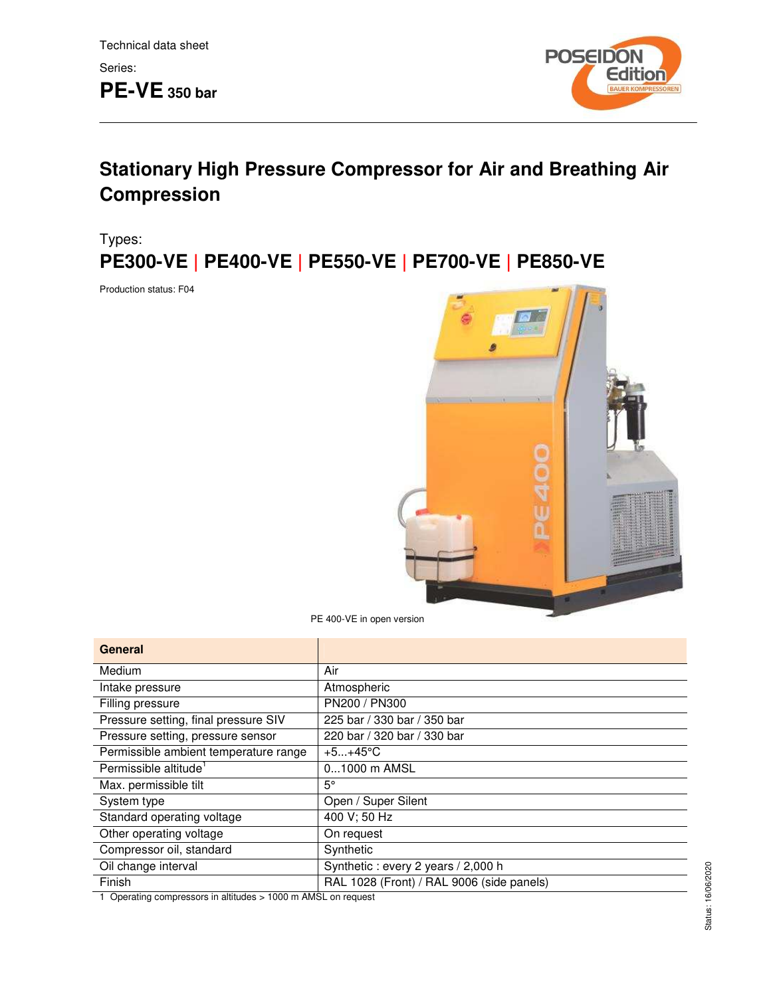

# **Stationary High Pressure Compressor for Air and Breathing Air Compression**

Types: **PE300-VE | PE400-VE | PE550-VE | PE700-VE | PE850-VE** 

Production status: F04



PE 400-VE in open version

| General                               |                                           |
|---------------------------------------|-------------------------------------------|
| Medium                                | Air                                       |
| Intake pressure                       | Atmospheric                               |
| Filling pressure                      | PN200 / PN300                             |
| Pressure setting, final pressure SIV  | 225 bar / 330 bar / 350 bar               |
| Pressure setting, pressure sensor     | 220 bar / 320 bar / 330 bar               |
| Permissible ambient temperature range | $+5+45^{\circ}C$                          |
| Permissible altitude <sup>1</sup>     | 01000 m AMSL                              |
| Max. permissible tilt                 | $5^{\circ}$                               |
| System type                           | Open / Super Silent                       |
| Standard operating voltage            | 400 V; 50 Hz                              |
| Other operating voltage               | On request                                |
| Compressor oil, standard              | Synthetic                                 |
| Oil change interval                   | Synthetic: every 2 years / 2,000 h        |
| Finish                                | RAL 1028 (Front) / RAL 9006 (side panels) |

1 Operating compressors in altitudes > 1000 m AMSL on request

Status: 16/06/2020 Status: 16/06/2020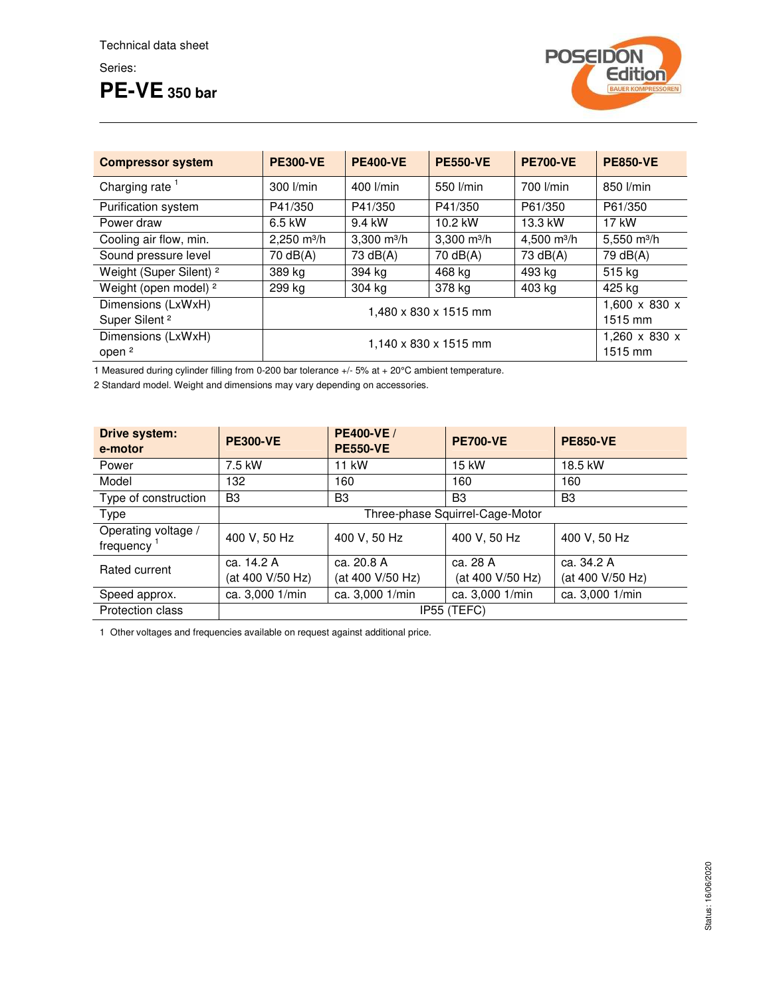# **PE-VE 350 bar**



| <b>Compressor system</b>           | <b>PE300-VE</b>                  | <b>PE400-VE</b> | <b>PE550-VE</b>           | <b>PE700-VE</b>           | <b>PE850-VE</b> |
|------------------------------------|----------------------------------|-----------------|---------------------------|---------------------------|-----------------|
| Charging rate $1$                  | 300 l/min                        | 400 l/min       | 550 l/min                 | 700 l/min                 | 850 l/min       |
| Purification system                | P41/350                          | P41/350         | P41/350                   | P61/350                   | P61/350         |
| Power draw                         | 6.5 kW                           | 9.4 kW          | 10.2 kW                   | 13.3 kW                   | 17 kW           |
| Cooling air flow, min.             | $2,250 \text{ m}^3/h$            | 3,300 $m^3/h$   | $3.300$ m <sup>3</sup> /h | 4,500 $m^3/h$             | 5,550 $m^3/h$   |
| Sound pressure level               | $70 \text{ dB}(A)$               | 73 dB(A)        | 70 dB(A)                  | 73 dB(A)                  | 79 dB(A)        |
| Weight (Super Silent) <sup>2</sup> | 389 kg                           | 394 kg          | 468 kg                    | 493 kg                    | 515 kg          |
| Weight (open model) <sup>2</sup>   | 299 kg                           | 304 kg          | 378 kg                    | 403 kg                    | 425 kg          |
| Dimensions (LxWxH)                 |                                  |                 |                           | $1.600 \times 830 \times$ |                 |
| Super Silent <sup>2</sup>          | 1,480 x 830 x 1515 mm<br>1515 mm |                 |                           |                           |                 |
| Dimensions (LxWxH)                 | 1,140 x 830 x 1515 mm<br>1515 mm |                 |                           | $1.260 \times 830 \times$ |                 |
| open <sup>2</sup>                  |                                  |                 |                           |                           |                 |

1 Measured during cylinder filling from 0-200 bar tolerance +/- 5% at + 20°C ambient temperature.

2 Standard model. Weight and dimensions may vary depending on accessories.

| Drive system:<br>e-motor             | <b>PE300-VE</b>                 | <b>PE400-VE/</b><br><b>PE550-VE</b> | <b>PE700-VE</b>  | <b>PE850-VE</b>  |
|--------------------------------------|---------------------------------|-------------------------------------|------------------|------------------|
| Power                                | 7.5 kW                          | 11 kW                               | 15 kW            | 18.5 kW          |
| Model                                | 132                             | 160                                 | 160              | 160              |
| Type of construction                 | B <sub>3</sub>                  | B <sub>3</sub>                      | B <sub>3</sub>   | B <sub>3</sub>   |
| Type                                 | Three-phase Squirrel-Cage-Motor |                                     |                  |                  |
| Operating voltage /<br>frequency $1$ | 400 V, 50 Hz                    | 400 V, 50 Hz                        | 400 V, 50 Hz     | 400 V, 50 Hz     |
| Rated current                        | ca. 14.2 A                      | ca. 20.8 A                          | ca. 28 A         | ca. 34.2 A       |
|                                      | (at 400 V/50 Hz)                | (at 400 V/50 Hz)                    | (at 400 V/50 Hz) | (at 400 V/50 Hz) |
| Speed approx.                        | ca. 3,000 1/min                 | ca. 3,000 1/min                     | ca. 3,000 1/min  | ca. 3,000 1/min  |
| <b>Protection class</b>              |                                 |                                     | IP55 (TEFC)      |                  |

1 Other voltages and frequencies available on request against additional price.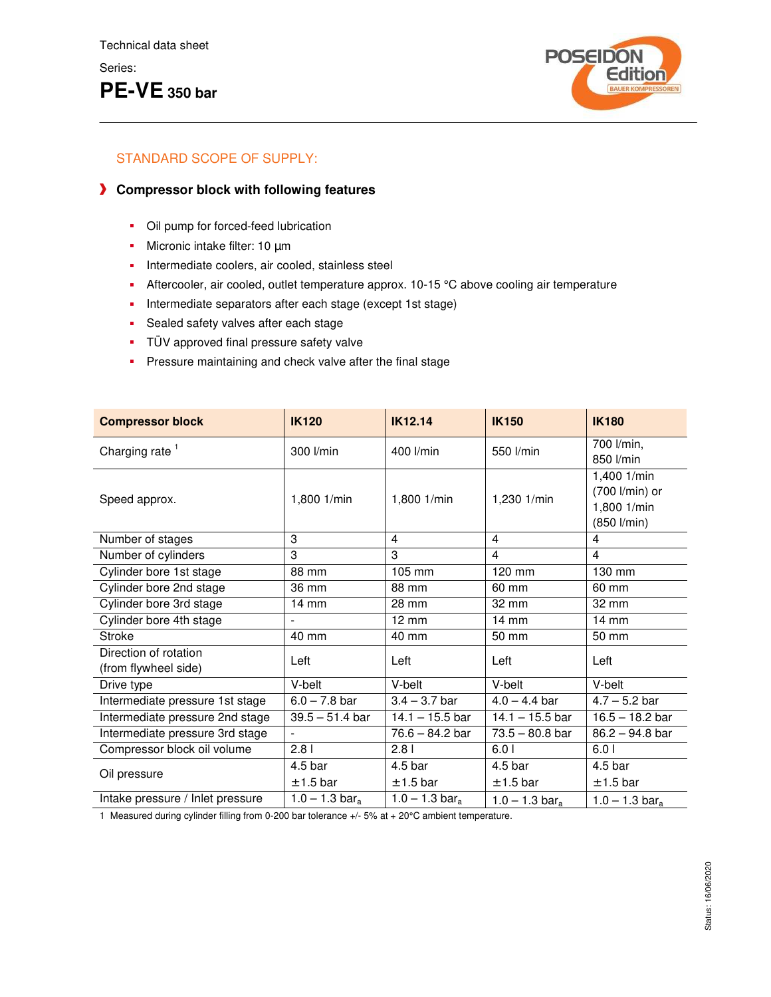# **PE-VE 350 bar**



## STANDARD SCOPE OF SUPPLY:

## **Compressor block with following features**

- Oil pump for forced-feed lubrication
- $\blacksquare$  Micronic intake filter: 10  $\mu$ m
- Intermediate coolers, air cooled, stainless steel
- Aftercooler, air cooled, outlet temperature approx. 10-15 °C above cooling air temperature
- Intermediate separators after each stage (except 1st stage)
- Sealed safety valves after each stage
- **-** TÜV approved final pressure safety valve
- Pressure maintaining and check valve after the final stage

| <b>Compressor block</b>                       | <b>IK120</b>                 | <b>IK12.14</b>              | <b>IK150</b>                | <b>IK180</b>                                                |
|-----------------------------------------------|------------------------------|-----------------------------|-----------------------------|-------------------------------------------------------------|
| Charging rate <sup>1</sup>                    | 300 l/min                    | 400 l/min                   | 550 l/min                   | 700 l/min,<br>850 l/min                                     |
| Speed approx.                                 | 1,800 1/min                  | 1,800 1/min                 | 1,230 1/min                 | 1,400 1/min<br>(700 l/min) or<br>1,800 1/min<br>(850 l/min) |
| Number of stages                              | 3                            | 4                           | 4                           | 4                                                           |
| Number of cylinders                           | 3                            | 3                           | $\overline{4}$              | $\overline{4}$                                              |
| Cylinder bore 1st stage                       | 88 mm                        | 105 mm                      | 120 mm                      | 130 mm                                                      |
| Cylinder bore 2nd stage                       | 36 mm                        | 88 mm                       | 60 mm                       | 60 mm                                                       |
| Cylinder bore 3rd stage                       | $14 \text{ mm}$              | 28 mm                       | 32 mm                       | 32 mm                                                       |
| Cylinder bore 4th stage                       |                              | $12 \text{ mm}$             | 14 mm                       | $14 \text{ mm}$                                             |
| <b>Stroke</b>                                 | 40 mm                        | 40 mm                       | 50 mm                       | 50 mm                                                       |
| Direction of rotation<br>(from flywheel side) | Left                         | Left                        | Left                        | Left                                                        |
| Drive type                                    | V-belt                       | V-belt                      | V-belt                      | V-belt                                                      |
| Intermediate pressure 1st stage               | $6.0 - 7.8$ bar              | $3.4 - 3.7$ bar             | $4.0 - 4.4$ bar             | $4.7 - 5.2$ bar                                             |
| Intermediate pressure 2nd stage               | $39.5 - 51.4$ bar            | $14.1 - 15.5$ bar           | $14.1 - 15.5$ bar           | $16.5 - 18.2$ bar                                           |
| Intermediate pressure 3rd stage               | L.                           | $76.6 - 84.2$ bar           | $73.5 - 80.8$ bar           | $86.2 - 94.8$ bar                                           |
| Compressor block oil volume                   | 2.81                         | 2.8 <sub>1</sub>            | 6.01                        | 6.01                                                        |
|                                               | 4.5 bar                      | 4.5 <sub>bar</sub>          | 4.5 <sub>bar</sub>          | 4.5 <sub>bar</sub>                                          |
| Oil pressure                                  | $± 1.5$ bar                  | $± 1.5$ bar                 | $± 1.5$ bar                 | ± 1.5 bar                                                   |
| Intake pressure / Inlet pressure              | 1.0 $-$ 1.3 bar <sub>a</sub> | $1.0 - 1.3 \text{ bar}_{a}$ | $1.0 - 1.3 \text{ bar}_{a}$ | 1.0 $-$ 1.3 bar <sub>a</sub>                                |

1 Measured during cylinder filling from 0-200 bar tolerance +/- 5% at + 20°C ambient temperature.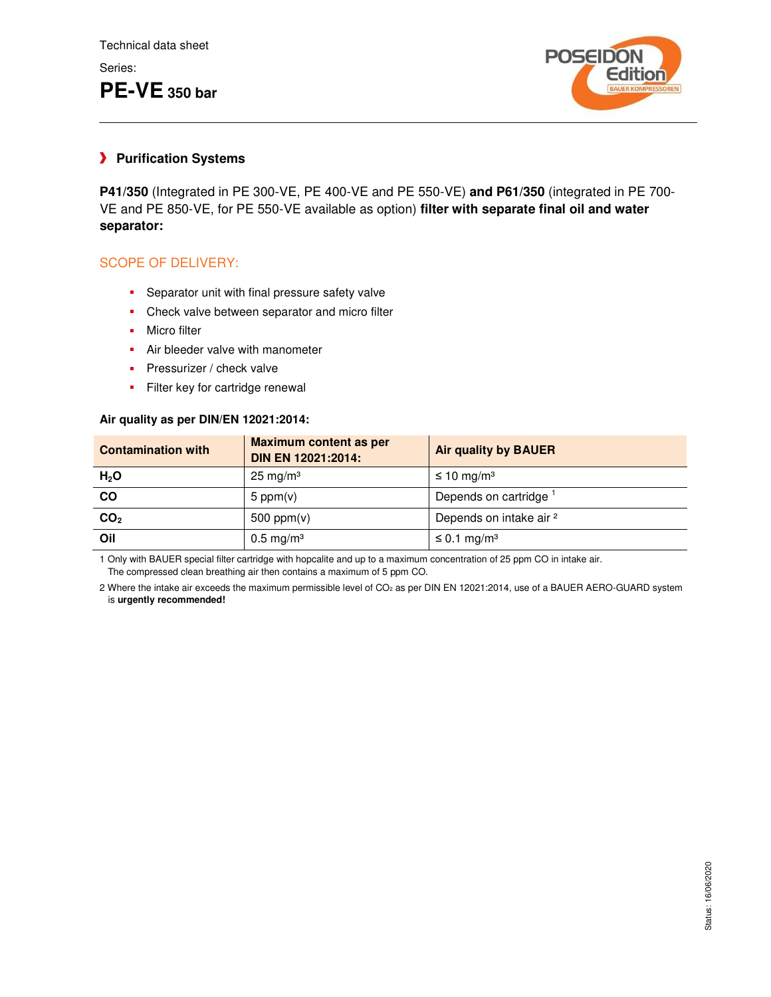# **PE-VE 350 bar**



## **Purification Systems**

**P41/350** (Integrated in PE 300-VE, PE 400-VE and PE 550-VE) **and P61/350** (integrated in PE 700- VE and PE 850-VE, for PE 550-VE available as option) **filter with separate final oil and water separator:**

## SCOPE OF DELIVERY:

- Separator unit with final pressure safety valve
- Check valve between separator and micro filter
- Micro filter
- Air bleeder valve with manometer
- Pressurizer / check valve
- Filter key for cartridge renewal

#### **Air quality as per DIN/EN 12021:2014:**

| <b>Contamination with</b> | <b>Maximum content as per</b><br><b>DIN EN 12021:2014:</b> | <b>Air quality by BAUER</b>        |
|---------------------------|------------------------------------------------------------|------------------------------------|
| H <sub>2</sub> O          | $25 \text{ mg/m}^3$                                        | $\leq 10$ mg/m <sup>3</sup>        |
| <b>CO</b>                 | 5 ppm $(v)$                                                | Depends on cartridge               |
| CO <sub>2</sub>           | 500 ppm $(v)$                                              | Depends on intake air <sup>2</sup> |
| Oil                       | $0.5 \,\mathrm{mg/m^3}$                                    | $\leq$ 0.1 mg/m <sup>3</sup>       |

1 Only with BAUER special filter cartridge with hopcalite and up to a maximum concentration of 25 ppm CO in intake air. The compressed clean breathing air then contains a maximum of 5 ppm CO.

2 Where the intake air exceeds the maximum permissible level of CO<sub>2</sub> as per DIN EN 12021:2014, use of a BAUER AERO-GUARD system is **urgently recommended!**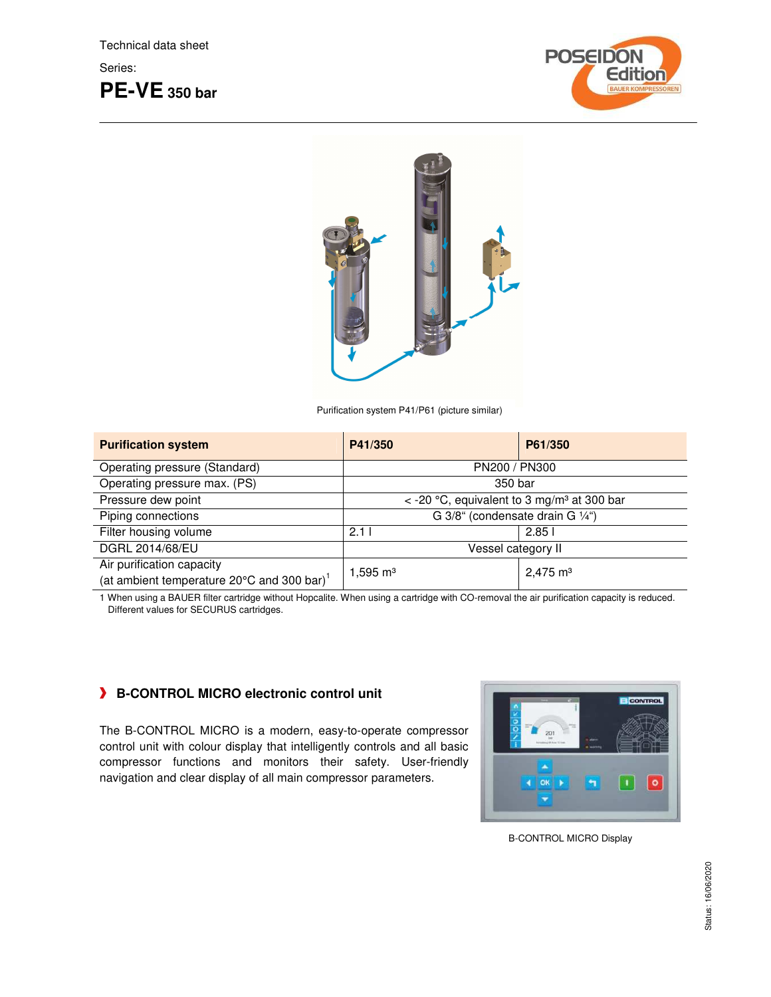# **PE-VE 350 bar**





Purification system P41/P61 (picture similar)

| <b>Purification system</b>                                                                    | P41/350                                                         | P61/350             |  |
|-----------------------------------------------------------------------------------------------|-----------------------------------------------------------------|---------------------|--|
| Operating pressure (Standard)                                                                 | PN200 / PN300                                                   |                     |  |
| Operating pressure max. (PS)                                                                  | 350 bar                                                         |                     |  |
| Pressure dew point                                                                            | $\epsilon$ -20 °C, equivalent to 3 mg/m <sup>3</sup> at 300 bar |                     |  |
| Piping connections                                                                            | G 3/8" (condensate drain G 1/4")                                |                     |  |
| Filter housing volume                                                                         | 2.11                                                            | 2.851               |  |
| DGRL 2014/68/EU                                                                               | Vessel category II                                              |                     |  |
| Air purification capacity<br>(at ambient temperature 20 $\degree$ C and 300 bar) <sup>1</sup> | $1,595 \text{ m}^3$                                             | $2,475 \text{ m}^3$ |  |

1 When using a BAUER filter cartridge without Hopcalite. When using a cartridge with CO-removal the air purification capacity is reduced. Different values for SECURUS cartridges.

### **B-CONTROL MICRO electronic control unit**

The B-CONTROL MICRO is a modern, easy-to-operate compressor control unit with colour display that intelligently controls and all basic compressor functions and monitors their safety. User-friendly navigation and clear display of all main compressor parameters.



B-CONTROL MICRO Display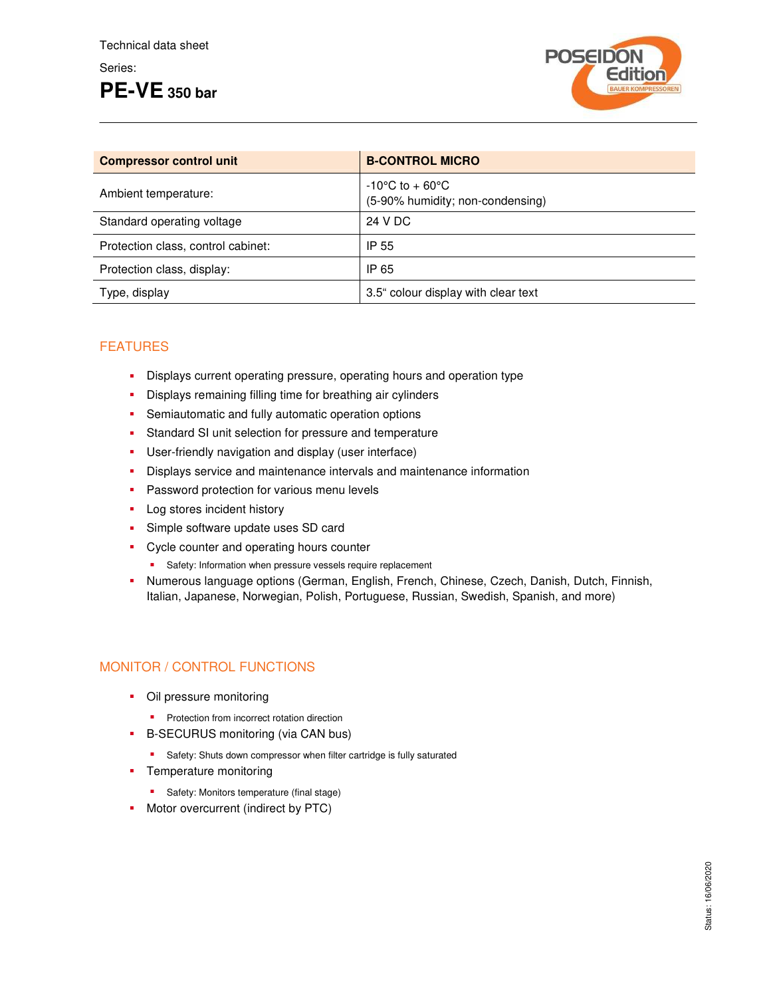# **PE-VE 350 bar**



| <b>Compressor control unit</b>     | <b>B-CONTROL MICRO</b>                                                   |
|------------------------------------|--------------------------------------------------------------------------|
| Ambient temperature:               | $-10^{\circ}$ C to + 60 $^{\circ}$ C<br>(5-90% humidity; non-condensing) |
| Standard operating voltage         | 24 V DC                                                                  |
| Protection class, control cabinet: | IP 55                                                                    |
| Protection class, display:         | IP 65                                                                    |
| Type, display                      | 3.5" colour display with clear text                                      |

## FEATURES

- Displays current operating pressure, operating hours and operation type
- Displays remaining filling time for breathing air cylinders
- Semiautomatic and fully automatic operation options
- Standard SI unit selection for pressure and temperature
- User-friendly navigation and display (user interface)
- Displays service and maintenance intervals and maintenance information
- Password protection for various menu levels
- Log stores incident history
- Simple software update uses SD card
- Cycle counter and operating hours counter
	- Safety: Information when pressure vessels require replacement
- Numerous language options (German, English, French, Chinese, Czech, Danish, Dutch, Finnish, Italian, Japanese, Norwegian, Polish, Portuguese, Russian, Swedish, Spanish, and more)

#### MONITOR / CONTROL FUNCTIONS

- Oil pressure monitoring
	- Protection from incorrect rotation direction
- B-SECURUS monitoring (via CAN bus)
	- Safety: Shuts down compressor when filter cartridge is fully saturated
- Temperature monitoring
	- Safety: Monitors temperature (final stage)
- Motor overcurrent (indirect by PTC)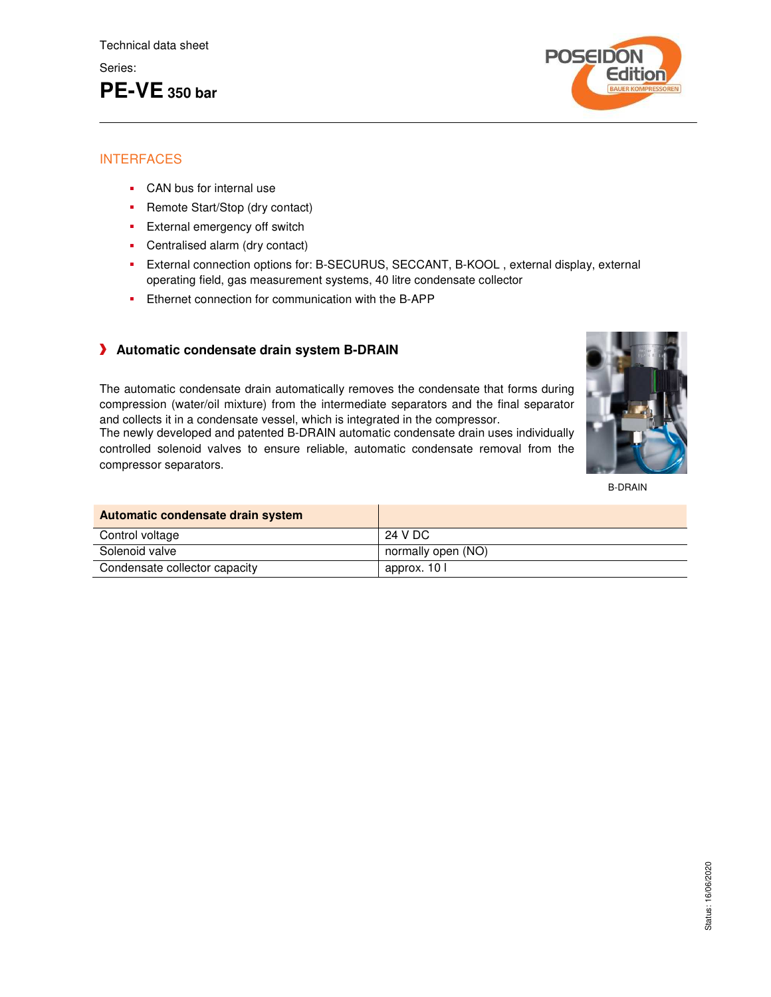# **PE-VE 350 bar**



### INTERFACES

- CAN bus for internal use
- Remote Start/Stop (dry contact)
- **External emergency off switch**
- Centralised alarm (dry contact)
- External connection options for: B-SECURUS, SECCANT, B-KOOL , external display, external operating field, gas measurement systems, 40 litre condensate collector
- Ethernet connection for communication with the B-APP

## **Automatic condensate drain system B-DRAIN**

The automatic condensate drain automatically removes the condensate that forms during compression (water/oil mixture) from the intermediate separators and the final separator and collects it in a condensate vessel, which is integrated in the compressor.

The newly developed and patented B-DRAIN automatic condensate drain uses individually controlled solenoid valves to ensure reliable, automatic condensate removal from the compressor separators.



B-DRAIN

| Automatic condensate drain system |                    |
|-----------------------------------|--------------------|
| Control voltage                   | 24 V DC            |
| Solenoid valve                    | normally open (NO) |
| Condensate collector capacity     | approx. 10 l       |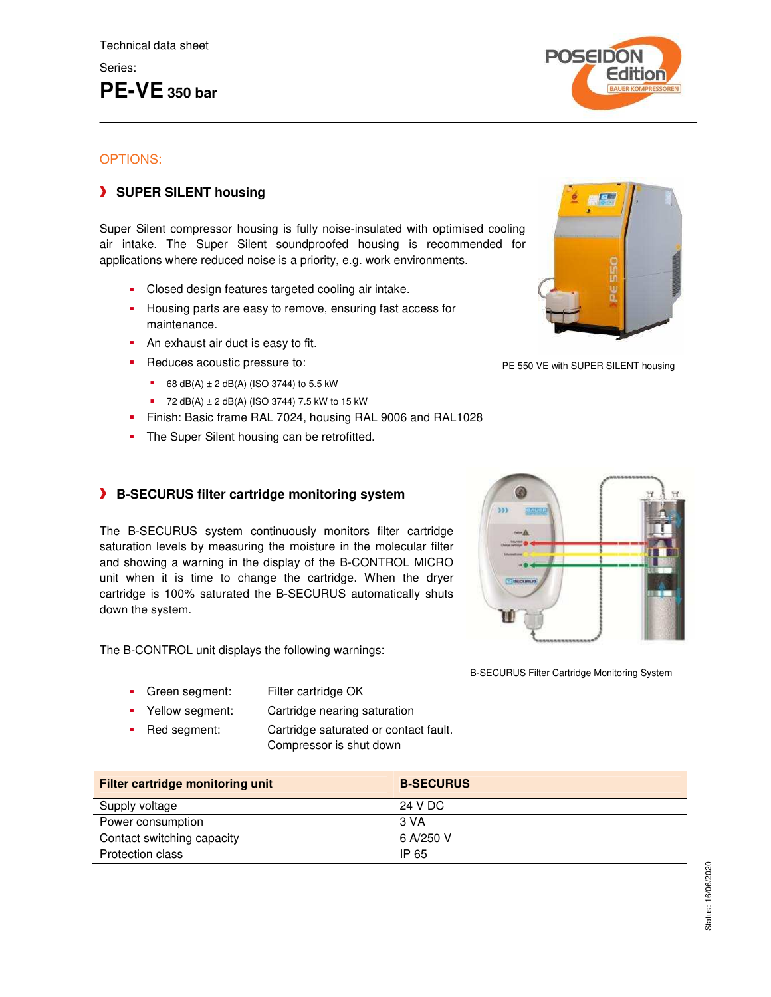

### OPTIONS:

## **SUPER SILENT housing**

Super Silent compressor housing is fully noise-insulated with optimised cooling air intake. The Super Silent soundproofed housing is recommended for applications where reduced noise is a priority, e.g. work environments.

- Closed design features targeted cooling air intake.
- Housing parts are easy to remove, ensuring fast access for maintenance.
- An exhaust air duct is easy to fit.
- Reduces acoustic pressure to:
	- 68 dB(A)  $± 2$  dB(A) (ISO 3744) to 5.5 kW
	- $\blacksquare$  72 dB(A)  $\pm$  2 dB(A) (ISO 3744) 7.5 kW to 15 kW
- Finish: Basic frame RAL 7024, housing RAL 9006 and RAL1028
- The Super Silent housing can be retrofitted.

### **B-SECURUS filter cartridge monitoring system**

The B-SECURUS system continuously monitors filter cartridge saturation levels by measuring the moisture in the molecular filter and showing a warning in the display of the B-CONTROL MICRO unit when it is time to change the cartridge. When the dryer cartridge is 100% saturated the B-SECURUS automatically shuts down the system.

The B-CONTROL unit displays the following warnings:

- Green segment: Filter cartridge OK
- Yellow segment: Cartridge nearing saturation
- Red segment: Cartridge saturated or contact fault. Compressor is shut down

| Filter cartridge monitoring unit | <b>B-SECURUS</b> |
|----------------------------------|------------------|
| Supply voltage                   | 24 V DC          |
| Power consumption                | 3 VA             |
| Contact switching capacity       | 6 A/250 V        |
| Protection class                 | IP 65            |



PE 550 VE with SUPER SILENT housing



B-SECURUS Filter Cartridge Monitoring System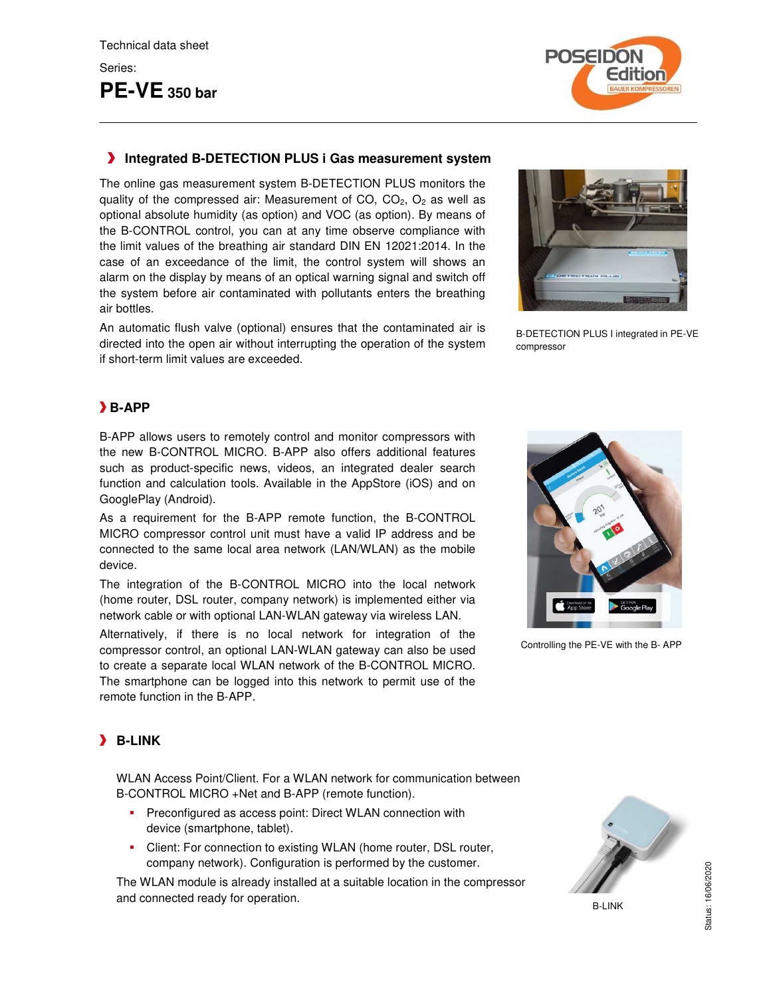

### **Integrated B-DETECTION PLUS i Gas measurement system**

The online gas measurement system B-DETECTION PLUS monitors the quality of the compressed air: Measurement of CO,  $CO<sub>2</sub>$ ,  $O<sub>2</sub>$  as well as optional absolute humidity (as option) and VOC (as option). By means of the B-CONTROL control, you can at any time observe compliance with the limit values of the breathing air standard DIN EN 12021:2014. In the case of an exceedance of the limit, the control system will shows an alarm on the display by means of an optical warning signal and switch off the system before air contaminated with pollutants enters the breathing air bottles.

An automatic flush valve (optional) ensures that the contaminated air is directed into the open air without interrupting the operation of the system if short-term limit values are exceeded.



B-DETECTION PLUS I integrated in PE-VE compressor

## **B-APP**

B-APP allows users to remotely control and monitor compressors with the new B-CONTROL MICRO. B-APP also offers additional features such as product-specific news, videos, an integrated dealer search function and calculation tools. Available in the AppStore (iOS) and on GooglePlay (Android).

As a requirement for the B-APP remote function, the B-CONTROL MICRO compressor control unit must have a valid IP address and be connected to the same local area network (LAN/WLAN) as the mobile device.

The integration of the B-CONTROL MICRO into the local network (home router, DSL router, company network) is implemented either via network cable or with optional LAN-WLAN gateway via wireless LAN.

Alternatively, if there is no local network for integration of the compressor control, an optional LAN-WLAN gateway can also be used to create a separate local WLAN network of the B-CONTROL MICRO. The smartphone can be logged into this network to permit use of the remote function in the B-APP.



Controlling the PE-VE with the B- APP

## **B-LINK**

WLAN Access Point/Client. For a WLAN network for communication between B-CONTROL MICRO +Net and B-APP (remote function).

- Preconfigured as access point: Direct WLAN connection with device (smartphone, tablet).
- Client: For connection to existing WLAN (home router, DSL router, company network). Configuration is performed by the customer.

The WLAN module is already installed at a suitable location in the compressor and connected ready for operation.



B-LINK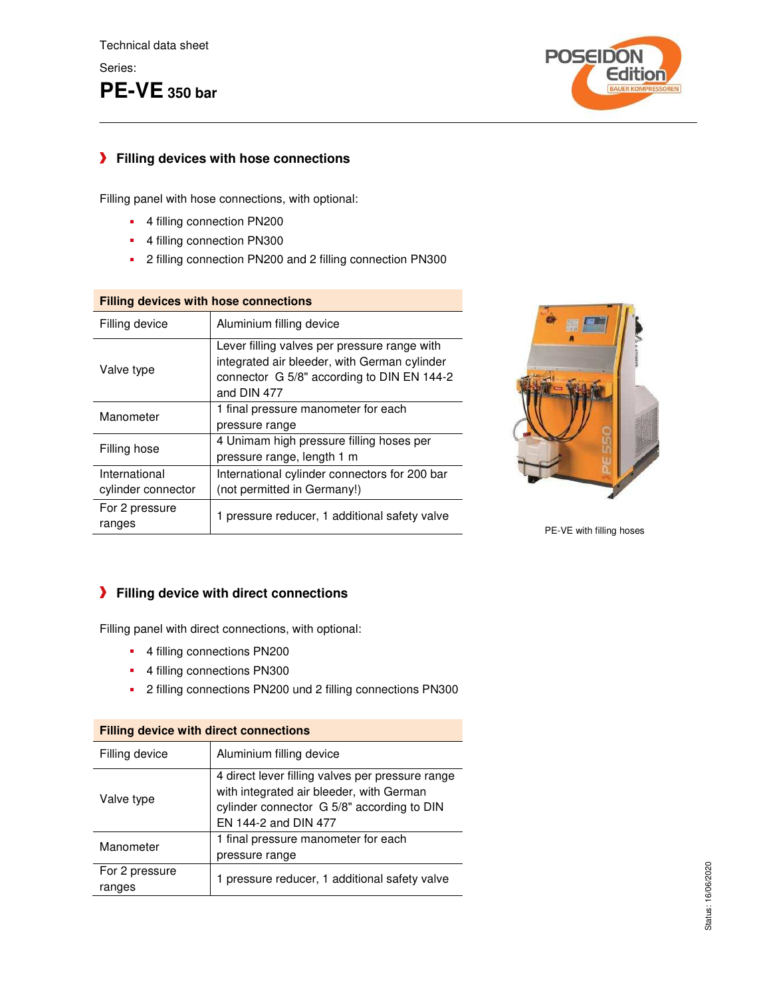# **PE-VE 350 bar**



### **Filling devices with hose connections**

Filling panel with hose connections, with optional:

- 4 filling connection PN200
- 4 filling connection PN300
- 2 filling connection PN200 and 2 filling connection PN300

| <b>Filling devices with hose connections</b> |                                                                                                                                                           |  |  |
|----------------------------------------------|-----------------------------------------------------------------------------------------------------------------------------------------------------------|--|--|
| Filling device                               | Aluminium filling device                                                                                                                                  |  |  |
| Valve type                                   | Lever filling valves per pressure range with<br>integrated air bleeder, with German cylinder<br>connector G 5/8" according to DIN EN 144-2<br>and DIN 477 |  |  |
| Manometer                                    | 1 final pressure manometer for each<br>pressure range                                                                                                     |  |  |
| Filling hose                                 | 4 Unimam high pressure filling hoses per<br>pressure range, length 1 m                                                                                    |  |  |
| International<br>cylinder connector          | International cylinder connectors for 200 bar<br>(not permitted in Germany!)                                                                              |  |  |
| For 2 pressure<br>ranges                     | 1 pressure reducer, 1 additional safety valve                                                                                                             |  |  |



PE-VE with filling hoses

## **Filling device with direct connections**

Filling panel with direct connections, with optional:

- 4 filling connections PN200
- 4 filling connections PN300
- 2 filling connections PN200 und 2 filling connections PN300

| <b>Filling device with direct connections</b> |                                                                                                                                                                    |  |
|-----------------------------------------------|--------------------------------------------------------------------------------------------------------------------------------------------------------------------|--|
| Filling device                                | Aluminium filling device                                                                                                                                           |  |
| Valve type                                    | 4 direct lever filling valves per pressure range<br>with integrated air bleeder, with German<br>cylinder connector G 5/8" according to DIN<br>EN 144-2 and DIN 477 |  |
| Manometer                                     | 1 final pressure manometer for each<br>pressure range                                                                                                              |  |
| For 2 pressure<br>ranges                      | 1 pressure reducer, 1 additional safety valve                                                                                                                      |  |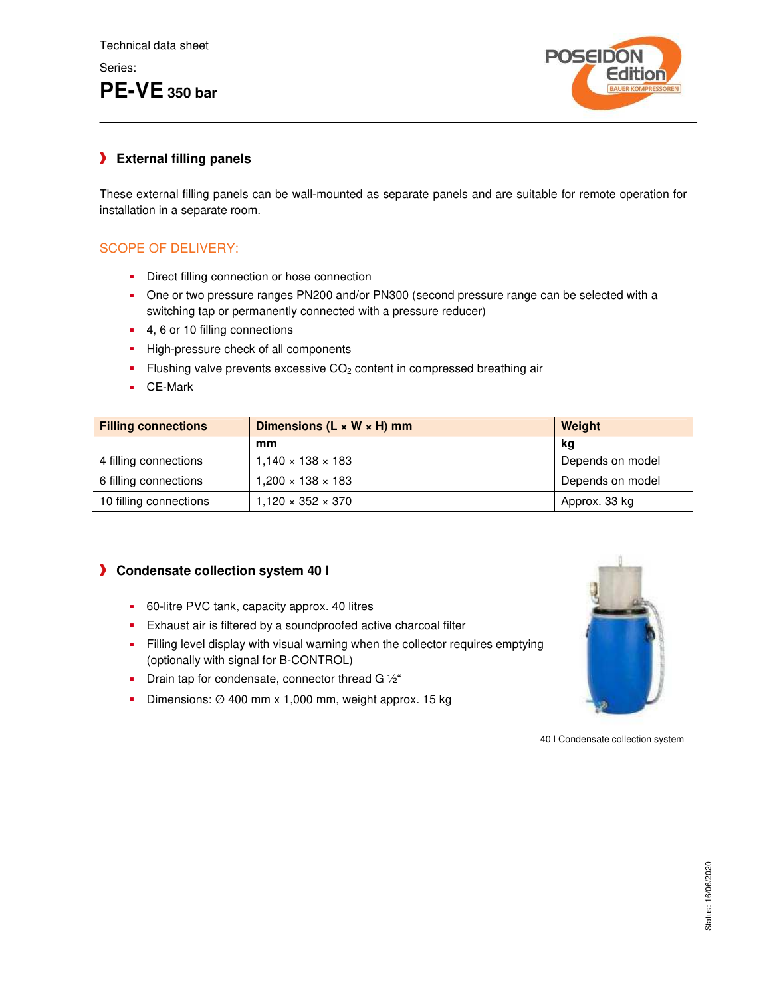# **PE-VE 350 bar**



## **External filling panels**

These external filling panels can be wall-mounted as separate panels and are suitable for remote operation for installation in a separate room.

## SCOPE OF DELIVERY:

- Direct filling connection or hose connection
- One or two pressure ranges PN200 and/or PN300 (second pressure range can be selected with a switching tap or permanently connected with a pressure reducer)
- 4, 6 or 10 filling connections
- High-pressure check of all components
- **•** Flushing valve prevents excessive  $CO<sub>2</sub>$  content in compressed breathing air
- CE-Mark

| <b>Filling connections</b> | Dimensions ( $L \times W \times H$ ) mm | Weight           |
|----------------------------|-----------------------------------------|------------------|
|                            | mm                                      | kg               |
| 4 filling connections      | $1,140 \times 138 \times 183$           | Depends on model |
| 6 filling connections      | $1,200 \times 138 \times 183$           | Depends on model |
| 10 filling connections     | $1,120 \times 352 \times 370$           | Approx. 33 kg    |

## **Condensate collection system 40 l**

- 60-litre PVC tank, capacity approx. 40 litres
- Exhaust air is filtered by a soundproofed active charcoal filter
- Filling level display with visual warning when the collector requires emptying (optionally with signal for B-CONTROL)
- **-** Drain tap for condensate, connector thread G  $\frac{1}{2}$ "
- Dimensions:  $Ø$  400 mm x 1,000 mm, weight approx. 15 kg



40 l Condensate collection system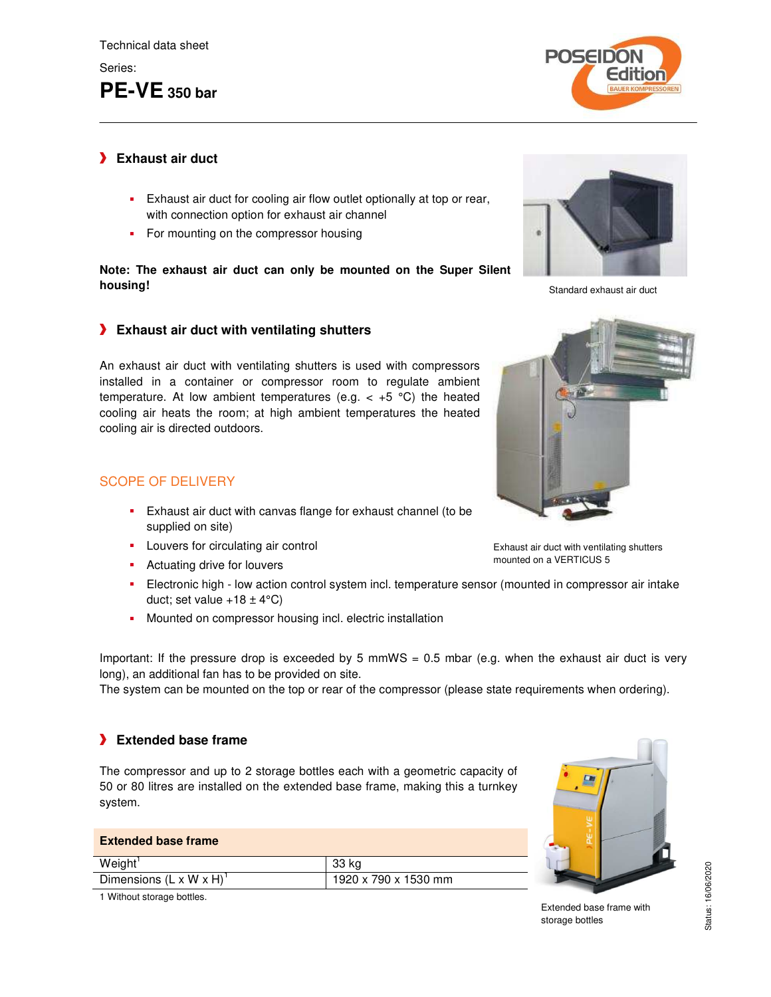## **PE-VE 350 bar**



### **Exhaust air duct**

- Exhaust air duct for cooling air flow outlet optionally at top or rear, with connection option for exhaust air channel
- For mounting on the compressor housing

**Note: The exhaust air duct can only be mounted on the Super Silent housing!** 

### **Exhaust air duct with ventilating shutters**

An exhaust air duct with ventilating shutters is used with compressors installed in a container or compressor room to regulate ambient temperature. At low ambient temperatures (e.g.  $\lt$  +5 °C) the heated cooling air heats the room; at high ambient temperatures the heated cooling air is directed outdoors.

### SCOPE OF DELIVERY

- Exhaust air duct with canvas flange for exhaust channel (to be supplied on site)
- Louvers for circulating air control
- Actuating drive for louvers
- Electronic high low action control system incl. temperature sensor (mounted in compressor air intake duct; set value  $+18 \pm 4$ °C)
- Mounted on compressor housing incl. electric installation

Important: If the pressure drop is exceeded by 5 mmWS = 0.5 mbar (e.g. when the exhaust air duct is very long), an additional fan has to be provided on site.

The system can be mounted on the top or rear of the compressor (please state requirements when ordering).

## **Extended base frame**

The compressor and up to 2 storage bottles each with a geometric capacity of 50 or 80 litres are installed on the extended base frame, making this a turnkey system.

| <b>Extended base frame</b>          |                      |
|-------------------------------------|----------------------|
| Weight <sup>1</sup>                 | 33 ka                |
| Dimensions $(L \times W \times H)'$ | 1920 x 790 x 1530 mm |

Extended base frame with storage bottles



Standard exhaust air duct



Exhaust air duct with ventilating shutters mounted on a VERTICUS 5

1 Without storage bottles.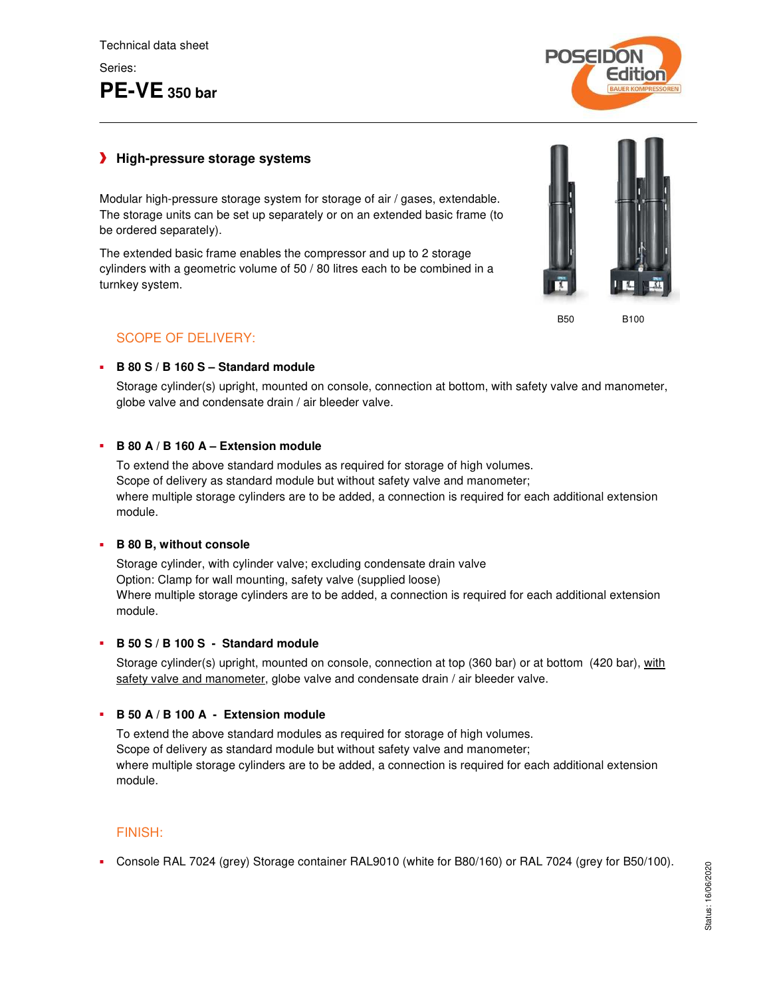

### **High-pressure storage systems**

Modular high-pressure storage system for storage of air / gases, extendable. The storage units can be set up separately or on an extended basic frame (to be ordered separately).

The extended basic frame enables the compressor and up to 2 storage cylinders with a geometric volume of 50 / 80 litres each to be combined in a turnkey system.



B50 B100

#### SCOPE OF DELIVERY:

#### ■ **B 80 S / B 160 S – Standard module**

Storage cylinder(s) upright, mounted on console, connection at bottom, with safety valve and manometer, globe valve and condensate drain / air bleeder valve.

#### ■ **B 80 A / B 160 A – Extension module**

To extend the above standard modules as required for storage of high volumes. Scope of delivery as standard module but without safety valve and manometer; where multiple storage cylinders are to be added, a connection is required for each additional extension module.

#### ■ **B 80 B, without console**

Storage cylinder, with cylinder valve; excluding condensate drain valve Option: Clamp for wall mounting, safety valve (supplied loose) Where multiple storage cylinders are to be added, a connection is required for each additional extension module.

#### ■ **B 50 S / B 100 S - Standard module**

Storage cylinder(s) upright, mounted on console, connection at top (360 bar) or at bottom (420 bar), with safety valve and manometer, globe valve and condensate drain / air bleeder valve.

#### ■ **B 50 A / B 100 A - Extension module**

To extend the above standard modules as required for storage of high volumes. Scope of delivery as standard module but without safety valve and manometer; where multiple storage cylinders are to be added, a connection is required for each additional extension module.

#### FINISH:

■ Console RAL 7024 (grey) Storage container RAL9010 (white for B80/160) or RAL 7024 (grey for B50/100).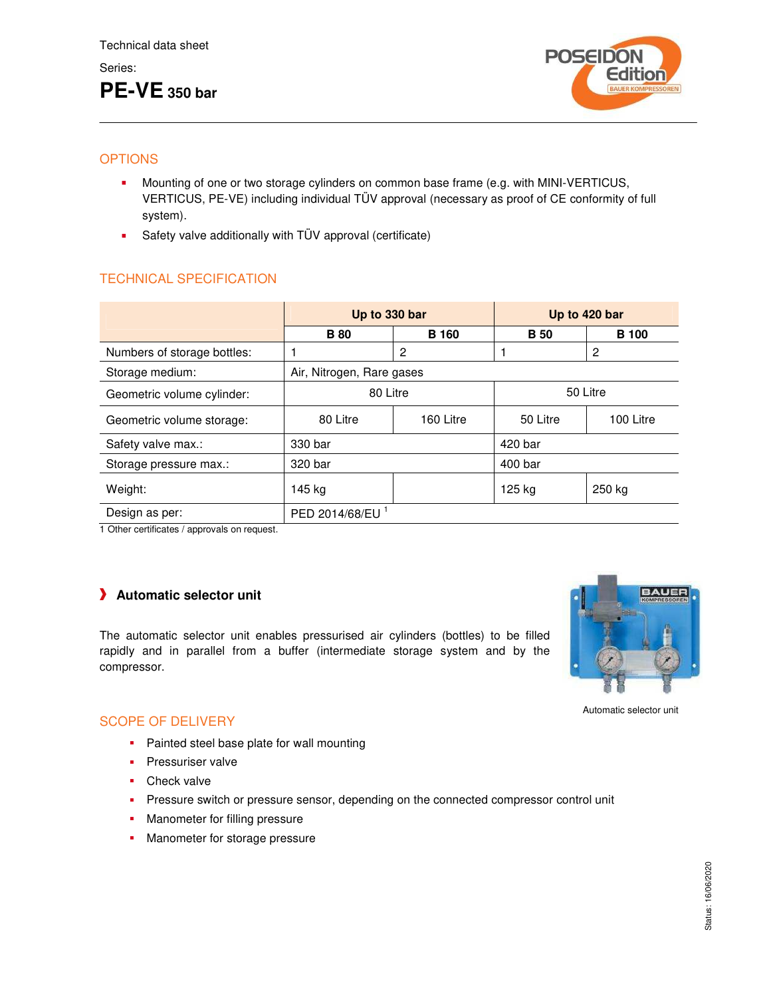# **PE-VE 350 bar**



## **OPTIONS**

- **Mounting of one or two storage cylinders on common base frame (e.g. with MINI-VERTICUS,** VERTICUS, PE-VE) including individual TÜV approval (necessary as proof of CE conformity of full system).
- **Safety valve additionally with TÜV approval (certificate)**

## TECHNICAL SPECIFICATION

|                             | Up to 330 bar               |              | Up to 420 bar |              |
|-----------------------------|-----------------------------|--------------|---------------|--------------|
|                             | <b>B</b> 80                 | <b>B</b> 160 | <b>B</b> 50   | <b>B</b> 100 |
| Numbers of storage bottles: |                             | 2            |               | 2            |
| Storage medium:             | Air, Nitrogen, Rare gases   |              |               |              |
| Geometric volume cylinder:  | 80 Litre                    |              | 50 Litre      |              |
| Geometric volume storage:   | 80 Litre                    | 160 Litre    | 50 Litre      | 100 Litre    |
| Safety valve max.:          | 330 bar                     |              | 420 bar       |              |
| Storage pressure max.:      | 320 bar                     |              | 400 bar       |              |
| Weight:                     | 145 kg                      |              | 125 kg        | 250 kg       |
| Design as per:              | PED 2014/68/EU <sup>1</sup> |              |               |              |

1 Other certificates / approvals on request.

## $\blacktriangleright$  Automatic selector unit

The automatic selector unit enables pressurised air cylinders (bottles) to be filled rapidly and in parallel from a buffer (intermediate storage system and by the compressor.



Automatic selector unit

### SCOPE OF DELIVERY

- Painted steel base plate for wall mounting
- Pressuriser valve
- Check valve
- Pressure switch or pressure sensor, depending on the connected compressor control unit
- Manometer for filling pressure
- Manometer for storage pressure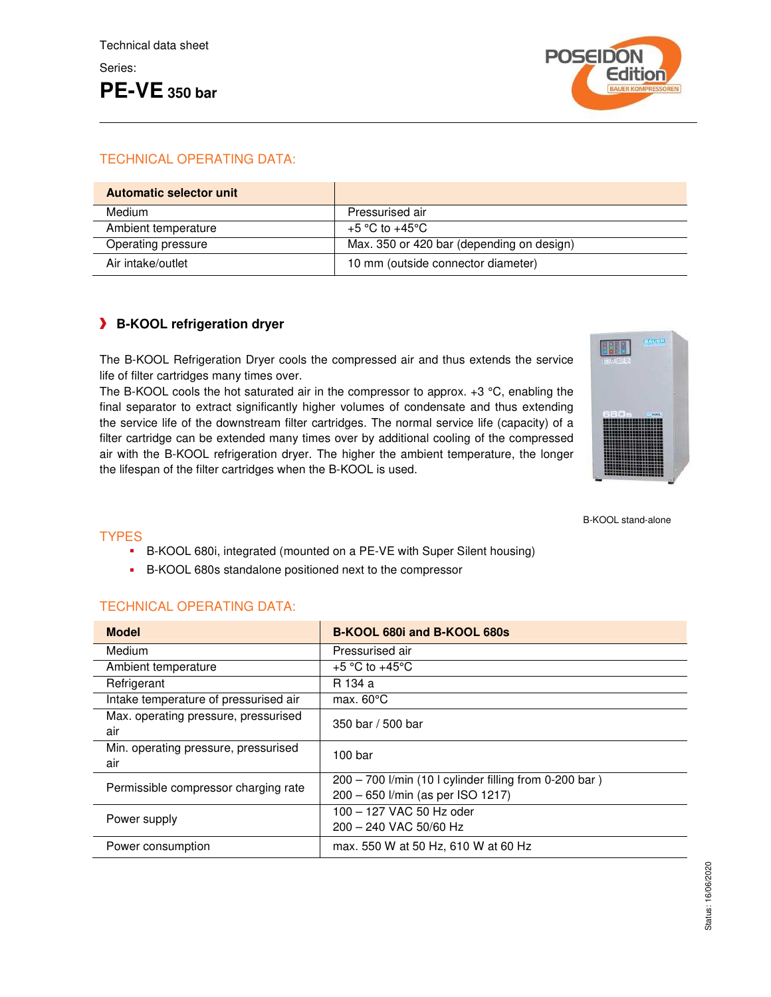

### TECHNICAL OPERATING DATA:

| Automatic selector unit |                                           |
|-------------------------|-------------------------------------------|
| Medium                  | Pressurised air                           |
| Ambient temperature     | $+5$ °C to $+45$ °C                       |
| Operating pressure      | Max. 350 or 420 bar (depending on design) |
| Air intake/outlet       | 10 mm (outside connector diameter)        |

### **B-KOOL refrigeration dryer**

The B-KOOL Refrigeration Dryer cools the compressed air and thus extends the service life of filter cartridges many times over.

The B-KOOL cools the hot saturated air in the compressor to approx. +3 °C, enabling the final separator to extract significantly higher volumes of condensate and thus extending the service life of the downstream filter cartridges. The normal service life (capacity) of a filter cartridge can be extended many times over by additional cooling of the compressed air with the B-KOOL refrigeration dryer. The higher the ambient temperature, the longer the lifespan of the filter cartridges when the B-KOOL is used.



B-KOOL stand-alone

#### TYPES

- B-KOOL 680i, integrated (mounted on a PE-VE with Super Silent housing)
- B-KOOL 680s standalone positioned next to the compressor

#### TECHNICAL OPERATING DATA:

| <b>Model</b>                                | B-KOOL 680i and B-KOOL 680s                                                                 |
|---------------------------------------------|---------------------------------------------------------------------------------------------|
| Medium                                      | Pressurised air                                                                             |
| Ambient temperature                         | $+5$ °C to $+45$ °C                                                                         |
| Refrigerant                                 | R 134 a                                                                                     |
| Intake temperature of pressurised air       | max. $60^{\circ}$ C                                                                         |
| Max. operating pressure, pressurised<br>air | 350 bar / 500 bar                                                                           |
| Min. operating pressure, pressurised<br>air | 100 <sub>bar</sub>                                                                          |
| Permissible compressor charging rate        | 200 - 700 I/min (10 I cylinder filling from 0-200 bar)<br>200 - 650 l/min (as per ISO 1217) |
| Power supply                                | 100 - 127 VAC 50 Hz oder<br>200 - 240 VAC 50/60 Hz                                          |
| Power consumption                           | max. 550 W at 50 Hz, 610 W at 60 Hz                                                         |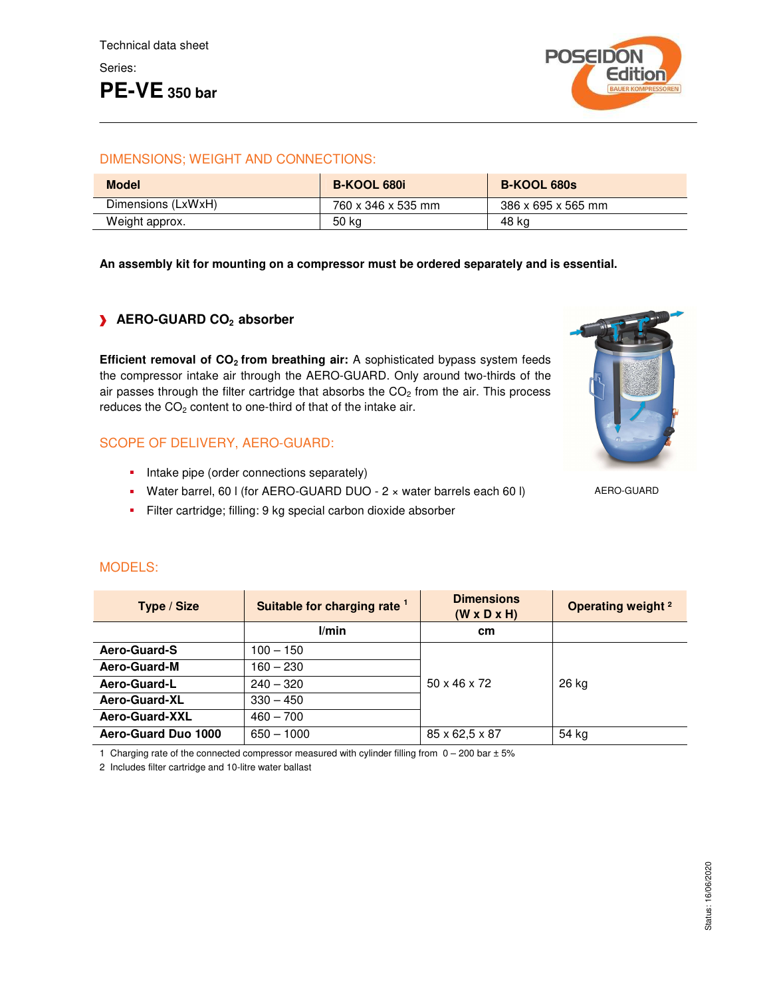

#### DIMENSIONS; WEIGHT AND CONNECTIONS:

| <b>Model</b>       | <b>B-KOOL 680i</b> | <b>B-KOOL 680s</b> |
|--------------------|--------------------|--------------------|
| Dimensions (LxWxH) | 760 x 346 x 535 mm | 386 x 695 x 565 mm |
| Weight approx.     | 50 kg              | 48 kg              |

**An assembly kit for mounting on a compressor must be ordered separately and is essential.** 

### **AERO-GUARD CO2 absorber**

**Efficient removal of CO2 from breathing air:** A sophisticated bypass system feeds the compressor intake air through the AERO-GUARD. Only around two-thirds of the air passes through the filter cartridge that absorbs the  $CO<sub>2</sub>$  from the air. This process reduces the CO<sub>2</sub> content to one-third of that of the intake air.

#### SCOPE OF DELIVERY, AERO-GUARD:

- **-** Intake pipe (order connections separately)
- Water barrel, 60 l (for AERO-GUARD DUO 2 × water barrels each 60 l)
- Filter cartridge; filling: 9 kg special carbon dioxide absorber



AERO-GUARD

| Type / Size                | Suitable for charging rate <sup>1</sup> | <b>Dimensions</b><br>$(W \times D \times H)$ | <b>Operating weight <sup>2</sup></b> |
|----------------------------|-----------------------------------------|----------------------------------------------|--------------------------------------|
|                            | l/min                                   | <b>cm</b>                                    |                                      |
| Aero-Guard-S               | $100 - 150$                             |                                              |                                      |
| <b>Aero-Guard-M</b>        | $160 - 230$                             | $50 \times 46 \times 72$                     |                                      |
| Aero-Guard-L               | $240 - 320$                             |                                              | 26 kg                                |
| Aero-Guard-XL              | $330 - 450$                             |                                              |                                      |
| Aero-Guard-XXL             | $460 - 700$                             |                                              |                                      |
| <b>Aero-Guard Duo 1000</b> | $650 - 1000$                            | 85 x 62,5 x 87                               | 54 kg                                |

### MODELS:

1 Charging rate of the connected compressor measured with cylinder filling from  $0 - 200$  bar  $\pm 5\%$ 

2 Includes filter cartridge and 10-litre water ballast

Status: 16/06/2020 Status: 16/06/2020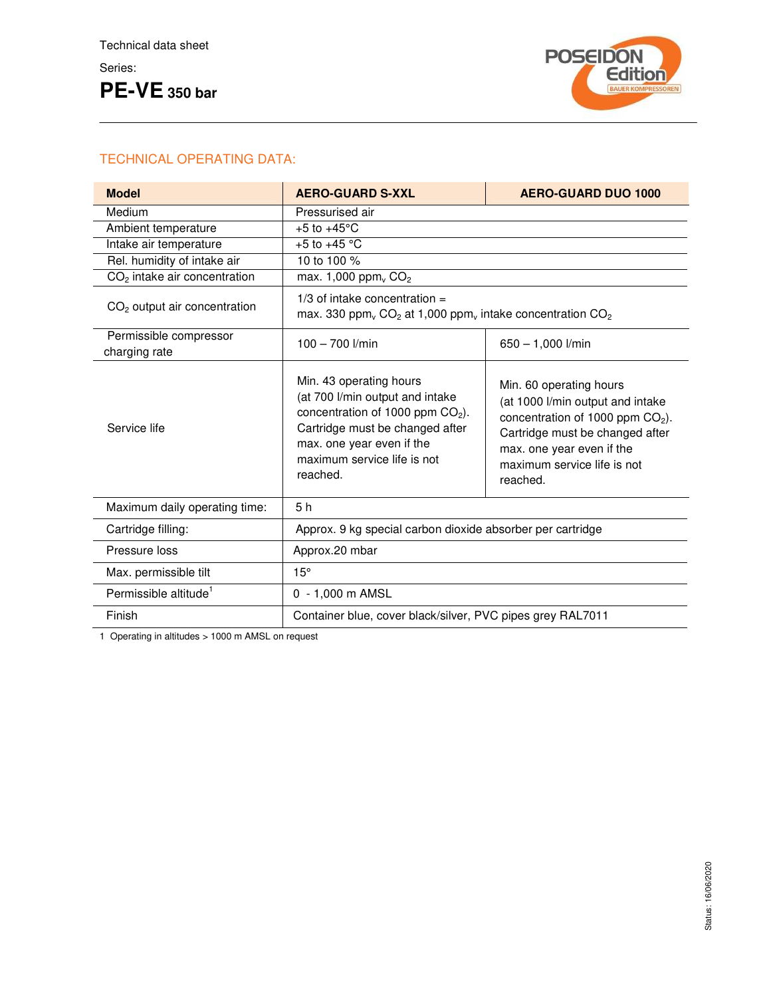

## TECHNICAL OPERATING DATA:

| <b>Model</b>                            | <b>AERO-GUARD S-XXL</b>                                                                                                                                                                                     | <b>AERO-GUARD DUO 1000</b>                                                                                                                                                                                   |  |
|-----------------------------------------|-------------------------------------------------------------------------------------------------------------------------------------------------------------------------------------------------------------|--------------------------------------------------------------------------------------------------------------------------------------------------------------------------------------------------------------|--|
| Medium                                  | Pressurised air                                                                                                                                                                                             |                                                                                                                                                                                                              |  |
| Ambient temperature                     | $+5$ to $+45^{\circ}$ C                                                                                                                                                                                     |                                                                                                                                                                                                              |  |
| Intake air temperature                  | +5 to +45 $^{\circ}$ C                                                                                                                                                                                      |                                                                                                                                                                                                              |  |
| Rel. humidity of intake air             | 10 to 100 %                                                                                                                                                                                                 |                                                                                                                                                                                                              |  |
| $CO2$ intake air concentration          | max. 1,000 ppm <sub>v</sub> $CO2$                                                                                                                                                                           |                                                                                                                                                                                                              |  |
| $CO2$ output air concentration          | $1/3$ of intake concentration =<br>max. 330 ppm, $CO2$ at 1,000 ppm, intake concentration $CO2$                                                                                                             |                                                                                                                                                                                                              |  |
| Permissible compressor<br>charging rate | $100 - 700$ I/min                                                                                                                                                                                           | $650 - 1,000$ l/min                                                                                                                                                                                          |  |
| Service life                            | Min. 43 operating hours<br>(at 700 l/min output and intake<br>concentration of 1000 ppm $CO2$ ).<br>Cartridge must be changed after<br>max. one year even if the<br>maximum service life is not<br>reached. | Min. 60 operating hours<br>(at 1000 l/min output and intake<br>concentration of 1000 ppm $CO2$ ).<br>Cartridge must be changed after<br>max. one year even if the<br>maximum service life is not<br>reached. |  |
| Maximum daily operating time:           | 5 <sub>h</sub>                                                                                                                                                                                              |                                                                                                                                                                                                              |  |
| Cartridge filling:                      | Approx. 9 kg special carbon dioxide absorber per cartridge                                                                                                                                                  |                                                                                                                                                                                                              |  |
| Pressure loss                           | Approx.20 mbar                                                                                                                                                                                              |                                                                                                                                                                                                              |  |
| Max. permissible tilt                   | 15°                                                                                                                                                                                                         |                                                                                                                                                                                                              |  |
| Permissible altitude <sup>1</sup>       | 0 - 1,000 m AMSL                                                                                                                                                                                            |                                                                                                                                                                                                              |  |
| Finish                                  | Container blue, cover black/silver, PVC pipes grey RAL7011                                                                                                                                                  |                                                                                                                                                                                                              |  |

1 Operating in altitudes > 1000 m AMSL on request